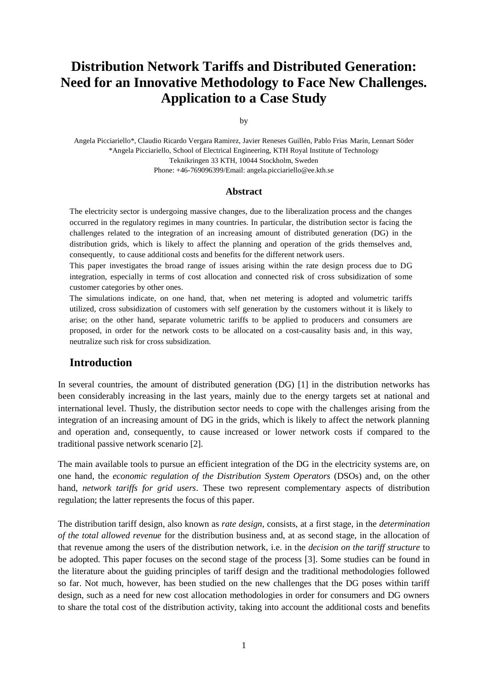# **Distribution Network Tariffs and Distributed Generation: Need for an Innovative Methodology to Face New Challenges. Application to a Case Study**

by

Angela Picciariello\*, Claudio Ricardo Vergara Ramirez, Javier Reneses Guillén, Pablo Frias Marín, Lennart Söder \*Angela Picciariello, School of Electrical Engineering, KTH Royal Institute of Technology Teknikringen 33 KTH, 10044 Stockholm, Sweden Phone: +46-769096399/Email: angela.picciariello@ee.kth.se

#### **Abstract**

The electricity sector is undergoing massive changes, due to the liberalization process and the changes occurred in the regulatory regimes in many countries. In particular, the distribution sector is facing the challenges related to the integration of an increasing amount of distributed generation (DG) in the distribution grids, which is likely to affect the planning and operation of the grids themselves and, consequently, to cause additional costs and benefits for the different network users.

This paper investigates the broad range of issues arising within the rate design process due to DG integration, especially in terms of cost allocation and connected risk of cross subsidization of some customer categories by other ones.

The simulations indicate, on one hand, that, when net metering is adopted and volumetric tariffs utilized, cross subsidization of customers with self generation by the customers without it is likely to arise; on the other hand, separate volumetric tariffs to be applied to producers and consumers are proposed, in order for the network costs to be allocated on a cost-causality basis and, in this way, neutralize such risk for cross subsidization.

### **Introduction**

In several countries, the amount of distributed generation (DG) [1] in the distribution networks has been considerably increasing in the last years, mainly due to the energy targets set at national and international level. Thusly, the distribution sector needs to cope with the challenges arising from the integration of an increasing amount of DG in the grids, which is likely to affect the network planning and operation and, consequently, to cause increased or lower network costs if compared to the traditional passive network scenario [2].

The main available tools to pursue an efficient integration of the DG in the electricity systems are, on one hand, the *economic regulation of the Distribution System Operators* (DSOs) and, on the other hand, *network tariffs for grid users*. These two represent complementary aspects of distribution regulation; the latter represents the focus of this paper.

The distribution tariff design, also known as *rate design*, consists, at a first stage, in the *determination of the total allowed revenue* for the distribution business and, at as second stage, in the allocation of that revenue among the users of the distribution network, i.e. in the *decision on the tariff structure* to be adopted. This paper focuses on the second stage of the process [3]. Some studies can be found in the literature about the guiding principles of tariff design and the traditional methodologies followed so far. Not much, however, has been studied on the new challenges that the DG poses within tariff design, such as a need for new cost allocation methodologies in order for consumers and DG owners to share the total cost of the distribution activity, taking into account the additional costs and benefits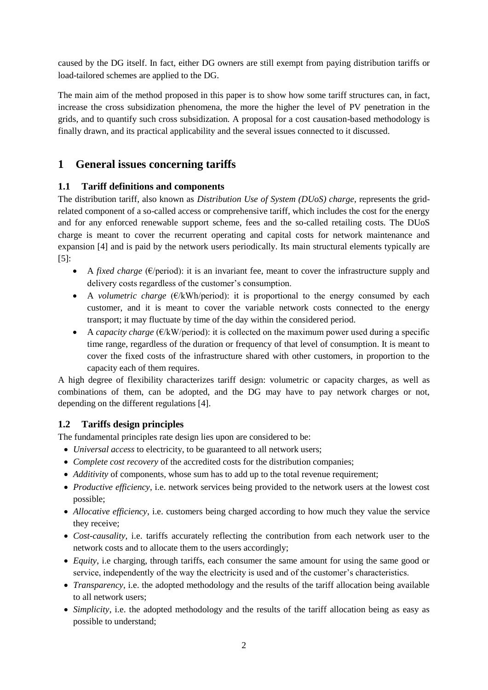caused by the DG itself. In fact, either DG owners are still exempt from paying distribution tariffs or load-tailored schemes are applied to the DG.

The main aim of the method proposed in this paper is to show how some tariff structures can, in fact, increase the cross subsidization phenomena, the more the higher the level of PV penetration in the grids, and to quantify such cross subsidization. A proposal for a cost causation-based methodology is finally drawn, and its practical applicability and the several issues connected to it discussed.

## **1 General issues concerning tariffs**

## **1.1 Tariff definitions and components**

The distribution tariff, also known as *Distribution Use of System (DUoS) charge*, represents the gridrelated component of a so-called access or comprehensive tariff, which includes the cost for the energy and for any enforced renewable support scheme, fees and the so-called retailing costs. The DUoS charge is meant to cover the recurrent operating and capital costs for network maintenance and expansion [4] and is paid by the network users periodically. Its main structural elements typically are [5]:

- A *fixed charge* ( $\epsilon$ /period): it is an invariant fee, meant to cover the infrastructure supply and delivery costs regardless of the customer's consumption.
- A *volumetric charge* (€/kWh/period): it is proportional to the energy consumed by each customer, and it is meant to cover the variable network costs connected to the energy transport; it may fluctuate by time of the day within the considered period.
- A *capacity charge* (€/kW/period): it is collected on the maximum power used during a specific time range, regardless of the duration or frequency of that level of consumption. It is meant to cover the fixed costs of the infrastructure shared with other customers, in proportion to the capacity each of them requires.

A high degree of flexibility characterizes tariff design: volumetric or capacity charges, as well as combinations of them, can be adopted, and the DG may have to pay network charges or not, depending on the different regulations [4].

## **1.2 Tariffs design principles**

The fundamental principles rate design lies upon are considered to be:

- *Universal access* to electricity, to be guaranteed to all network users;
- *Complete cost recovery* of the accredited costs for the distribution companies;
- *Additivity* of components, whose sum has to add up to the total revenue requirement;
- *Productive efficiency*, i.e. network services being provided to the network users at the lowest cost possible;
- *Allocative efficiency*, i.e. customers being charged according to how much they value the service they receive;
- *Cost-causality*, i.e. tariffs accurately reflecting the contribution from each network user to the network costs and to allocate them to the users accordingly;
- *Equity*, i.e charging, through tariffs, each consumer the same amount for using the same good or service, independently of the way the electricity is used and of the customer's characteristics.
- *Transparency*, i.e. the adopted methodology and the results of the tariff allocation being available to all network users;
- *Simplicity*, i.e. the adopted methodology and the results of the tariff allocation being as easy as possible to understand;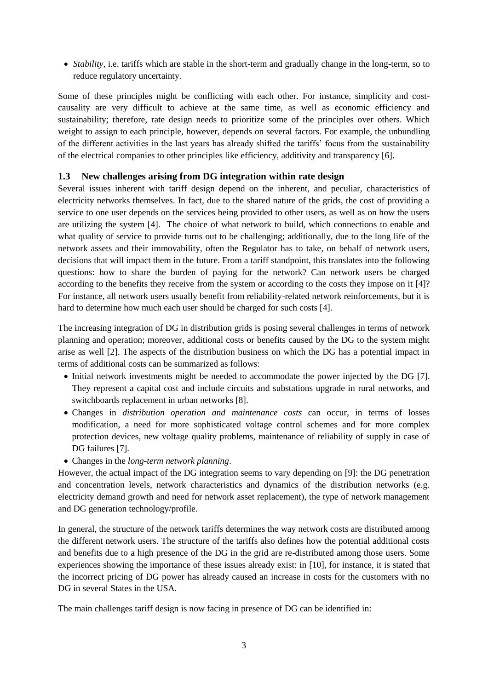*Stability*, i.e. tariffs which are stable in the short-term and gradually change in the long-term, so to reduce regulatory uncertainty.

Some of these principles might be conflicting with each other. For instance, simplicity and costcausality are very difficult to achieve at the same time, as well as economic efficiency and sustainability; therefore, rate design needs to prioritize some of the principles over others. Which weight to assign to each principle, however, depends on several factors. For example, the unbundling of the different activities in the last years has already shifted the tariffs' focus from the sustainability of the electrical companies to other principles like efficiency, additivity and transparency [6].

## **1.3 New challenges arising from DG integration within rate design**

Several issues inherent with tariff design depend on the inherent, and peculiar, characteristics of electricity networks themselves. In fact, due to the shared nature of the grids, the cost of providing a service to one user depends on the services being provided to other users, as well as on how the users are utilizing the system [4]. The choice of what network to build, which connections to enable and what quality of service to provide turns out to be challenging; additionally, due to the long life of the network assets and their immovability, often the Regulator has to take, on behalf of network users, decisions that will impact them in the future. From a tariff standpoint, this translates into the following questions: how to share the burden of paying for the network? Can network users be charged according to the benefits they receive from the system or according to the costs they impose on it [4]? For instance, all network users usually benefit from reliability-related network reinforcements, but it is hard to determine how much each user should be charged for such costs [4].

The increasing integration of DG in distribution grids is posing several challenges in terms of network planning and operation; moreover, additional costs or benefits caused by the DG to the system might arise as well [2]. The aspects of the distribution business on which the DG has a potential impact in terms of additional costs can be summarized as follows:

- Initial network investments might be needed to accommodate the power injected by the DG [7]. They represent a capital cost and include circuits and substations upgrade in rural networks, and switchboards replacement in urban networks [8].
- Changes in *distribution operation and maintenance costs* can occur, in terms of losses modification, a need for more sophisticated voltage control schemes and for more complex protection devices, new voltage quality problems, maintenance of reliability of supply in case of DG failures [7].
- Changes in the *long-term network planning*.

However, the actual impact of the DG integration seems to vary depending on [9]: the DG penetration and concentration levels, network characteristics and dynamics of the distribution networks (e.g. electricity demand growth and need for network asset replacement), the type of network management and DG generation technology/profile.

In general, the structure of the network tariffs determines the way network costs are distributed among the different network users. The structure of the tariffs also defines how the potential additional costs and benefits due to a high presence of the DG in the grid are re-distributed among those users. Some experiences showing the importance of these issues already exist: in [10], for instance, it is stated that the incorrect pricing of DG power has already caused an increase in costs for the customers with no DG in several States in the USA.

The main challenges tariff design is now facing in presence of DG can be identified in: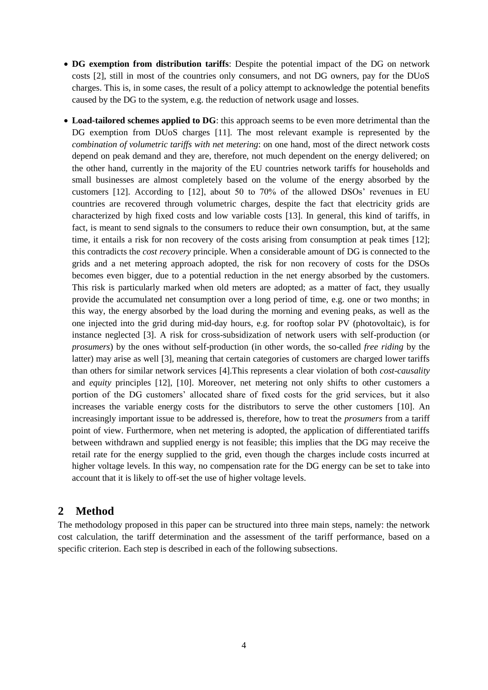- **DG exemption from distribution tariffs**: Despite the potential impact of the DG on network costs [2], still in most of the countries only consumers, and not DG owners, pay for the DUoS charges. This is, in some cases, the result of a policy attempt to acknowledge the potential benefits caused by the DG to the system, e.g. the reduction of network usage and losses.
- **Load-tailored schemes applied to DG**: this approach seems to be even more detrimental than the DG exemption from DUoS charges [11]. The most relevant example is represented by the *combination of volumetric tariffs with net metering*: on one hand, most of the direct network costs depend on peak demand and they are, therefore, not much dependent on the energy delivered; on the other hand, currently in the majority of the EU countries network tariffs for households and small businesses are almost completely based on the volume of the energy absorbed by the customers [12]. According to [12], about 50 to 70% of the allowed DSOs' revenues in EU countries are recovered through volumetric charges, despite the fact that electricity grids are characterized by high fixed costs and low variable costs [13]. In general, this kind of tariffs, in fact, is meant to send signals to the consumers to reduce their own consumption, but, at the same time, it entails a risk for non recovery of the costs arising from consumption at peak times [12]; this contradicts the *cost recovery* principle. When a considerable amount of DG is connected to the grids and a net metering approach adopted, the risk for non recovery of costs for the DSOs becomes even bigger, due to a potential reduction in the net energy absorbed by the customers. This risk is particularly marked when old meters are adopted; as a matter of fact, they usually provide the accumulated net consumption over a long period of time, e.g. one or two months; in this way, the energy absorbed by the load during the morning and evening peaks, as well as the one injected into the grid during mid-day hours, e.g. for rooftop solar PV (photovoltaic), is for instance neglected [3]. A risk for cross-subsidization of network users with self-production (or *prosumers*) by the ones without self-production (in other words, the so-called *free riding* by the latter) may arise as well [3], meaning that certain categories of customers are charged lower tariffs than others for similar network services [4].This represents a clear violation of both *cost-causality*  and *equity* principles [12], [10]. Moreover, net metering not only shifts to other customers a portion of the DG customers' allocated share of fixed costs for the grid services, but it also increases the variable energy costs for the distributors to serve the other customers [10]. An increasingly important issue to be addressed is, therefore, how to treat the *prosumers* from a tariff point of view. Furthermore, when net metering is adopted, the application of differentiated tariffs between withdrawn and supplied energy is not feasible; this implies that the DG may receive the retail rate for the energy supplied to the grid, even though the charges include costs incurred at higher voltage levels. In this way, no compensation rate for the DG energy can be set to take into account that it is likely to off-set the use of higher voltage levels.

## **2 Method**

The methodology proposed in this paper can be structured into three main steps, namely: the network cost calculation, the tariff determination and the assessment of the tariff performance, based on a specific criterion. Each step is described in each of the following subsections.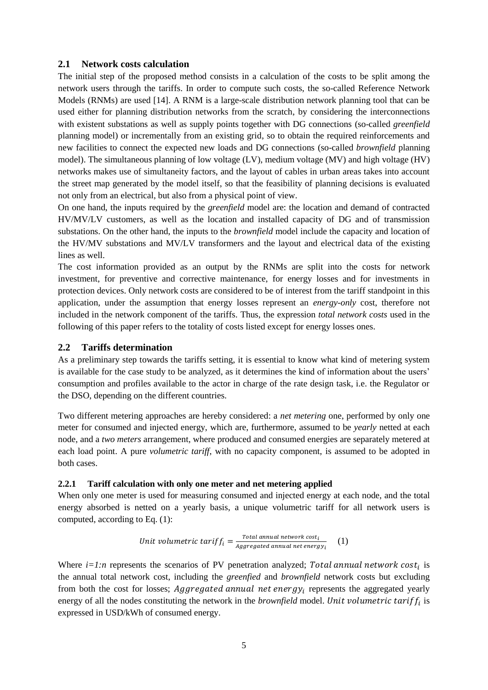#### **2.1 Network costs calculation**

The initial step of the proposed method consists in a calculation of the costs to be split among the network users through the tariffs. In order to compute such costs, the so-called Reference Network Models (RNMs) are used [14]. A RNM is a large-scale distribution network planning tool that can be used either for planning distribution networks from the scratch, by considering the interconnections with existent substations as well as supply points together with DG connections (so-called *greenfield*  planning model) or incrementally from an existing grid, so to obtain the required reinforcements and new facilities to connect the expected new loads and DG connections (so-called *brownfield* planning model). The simultaneous planning of low voltage (LV), medium voltage (MV) and high voltage (HV) networks makes use of simultaneity factors, and the layout of cables in urban areas takes into account the street map generated by the model itself, so that the feasibility of planning decisions is evaluated not only from an electrical, but also from a physical point of view.

On one hand, the inputs required by the *greenfield* model are: the location and demand of contracted HV/MV/LV customers, as well as the location and installed capacity of DG and of transmission substations. On the other hand, the inputs to the *brownfield* model include the capacity and location of the HV/MV substations and MV/LV transformers and the layout and electrical data of the existing lines as well.

The cost information provided as an output by the RNMs are split into the costs for network investment, for preventive and corrective maintenance, for energy losses and for investments in protection devices. Only network costs are considered to be of interest from the tariff standpoint in this application, under the assumption that energy losses represent an *energy-only* cost, therefore not included in the network component of the tariffs. Thus, the expression *total network costs* used in the following of this paper refers to the totality of costs listed except for energy losses ones.

### **2.2 Tariffs determination**

As a preliminary step towards the tariffs setting, it is essential to know what kind of metering system is available for the case study to be analyzed, as it determines the kind of information about the users' consumption and profiles available to the actor in charge of the rate design task, i.e. the Regulator or the DSO, depending on the different countries.

Two different metering approaches are hereby considered: a *net metering* one, performed by only one meter for consumed and injected energy, which are, furthermore, assumed to be *yearly* netted at each node, and a *two meters* arrangement, where produced and consumed energies are separately metered at each load point. A pure *volumetric tariff*, with no capacity component, is assumed to be adopted in both cases.

#### **2.2.1 Tariff calculation with only one meter and net metering applied**

When only one meter is used for measuring consumed and injected energy at each node, and the total energy absorbed is netted on a yearly basis, a unique volumetric tariff for all network users is computed, according to Eq. (1):

Unit volumetric 
$$
tariff_i = \frac{Total\, network\, cost_i}{Aggregated\, annual\, net\, energy_i} \qquad (1)
$$

Where  $i=1:n$  represents the scenarios of PV penetration analyzed; Total annual network cost<sub>i</sub> is the annual total network cost, including the *greenfied* and *brownfield* network costs but excluding from both the cost for losses; *Aggregated annual net energy<sub>i</sub>* represents the aggregated yearly energy of all the nodes constituting the network in the *brownfield* model. Unit volumetric tariff<sub>i</sub> is expressed in USD/kWh of consumed energy.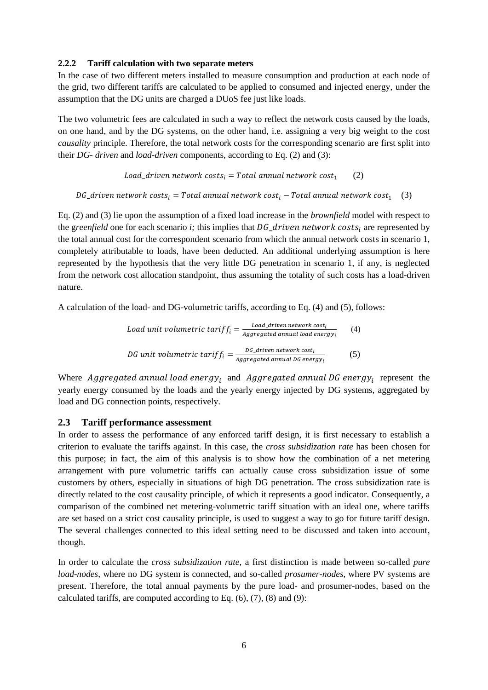#### **2.2.2 Tariff calculation with two separate meters**

In the case of two different meters installed to measure consumption and production at each node of the grid, two different tariffs are calculated to be applied to consumed and injected energy, under the assumption that the DG units are charged a DUoS fee just like loads.

The two volumetric fees are calculated in such a way to reflect the network costs caused by the loads, on one hand, and by the DG systems, on the other hand, i.e. assigning a very big weight to the *cost causality* principle. Therefore, the total network costs for the corresponding scenario are first split into their *DG- driven* and *load-driven* components, according to Eq. (2) and (3):

> Load\_driven network costs<sub>i</sub> = Total annual network cost, (2)

DG\_driven network costs<sub>i</sub> = Total annual network cost<sub>i</sub> – Total annual network cost<sub>1</sub> (3)

Eq. (2) and (3) lie upon the assumption of a fixed load increase in the *brownfield* model with respect to the greenfield one for each scenario *i*; this implies that  $DG\_driven$  network costs<sub>i</sub> are represented by the total annual cost for the correspondent scenario from which the annual network costs in scenario 1, completely attributable to loads, have been deducted. An additional underlying assumption is here represented by the hypothesis that the very little DG penetration in scenario 1, if any, is neglected from the network cost allocation standpoint, thus assuming the totality of such costs has a load-driven nature.

A calculation of the load- and DG-volumetric tariffs, according to Eq. (4) and (5), follows:

\n
$$
Load\ unit\ volumetric\ tariff_i = \frac{Load\_driven\ network\ cost_i}{Aggregated\ annual\ load\ energy_i}
$$
\n

\n\n
$$
DG\ unit\ volumetric\ tariff_i = \frac{DG\_driven\ network\ cost_i}{Aggregated\ annual\ DG\ energy_i}
$$
\n

\n\n (5)\n

Where Aggregated annual load energy<sub>i</sub> and Aggregated annual DG energy<sub>i</sub> represent the yearly energy consumed by the loads and the yearly energy injected by DG systems, aggregated by load and DG connection points, respectively.

#### **2.3 Tariff performance assessment**

In order to assess the performance of any enforced tariff design, it is first necessary to establish a criterion to evaluate the tariffs against. In this case, the *cross subsidization rate* has been chosen for this purpose; in fact, the aim of this analysis is to show how the combination of a net metering arrangement with pure volumetric tariffs can actually cause cross subsidization issue of some customers by others, especially in situations of high DG penetration. The cross subsidization rate is directly related to the cost causality principle, of which it represents a good indicator. Consequently, a comparison of the combined net metering-volumetric tariff situation with an ideal one, where tariffs are set based on a strict cost causality principle, is used to suggest a way to go for future tariff design. The several challenges connected to this ideal setting need to be discussed and taken into account, though.

In order to calculate the *cross subsidization rate,* a first distinction is made between so-called *pure load*-*nodes*, where no DG system is connected, and so-called *prosumer-nodes,* where PV systems are present. Therefore, the total annual payments by the pure load- and prosumer-nodes, based on the calculated tariffs, are computed according to Eq.  $(6)$ ,  $(7)$ ,  $(8)$  and  $(9)$ :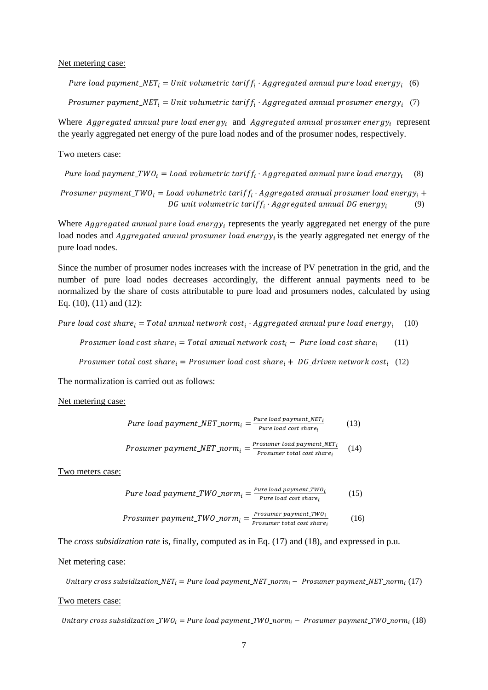Net metering case:

Pure load payment\_NET<sub>i</sub> = Unit volumetric tarif  $f_i \cdot Aggregated$  annual pure load energy<sub>i</sub> (6)

Prosumer payment\_NET<sub>i</sub> = Unit volumetric tarif  $f_i \cdot Aggregated$  annual prosumer energy<sub>i</sub> (7)

Where Aggregated annual pure load energy<sub>i</sub> and Aggregated annual prosumer energy<sub>i</sub> represent the yearly aggregated net energy of the pure load nodes and of the prosumer nodes, respectively.

Two meters case:

Pure load payment\_TWO<sub>i</sub> = Load volumetric tarif  $f_i$ . (8)

Prosumer payment\_TWO<sub>i</sub> = Load volumetric tarif  $f_i$ . DG unit volumetric tariff<sub>i</sub>. (9)

Where *Aggregated annual pure load energy<sub>i</sub>* represents the yearly aggregated net energy of the pure load nodes and *Aggregated annual prosumer load energy<sub>i</sub>* is the yearly aggregated net energy of the pure load nodes.

Since the number of prosumer nodes increases with the increase of PV penetration in the grid, and the number of pure load nodes decreases accordingly, the different annual payments need to be normalized by the share of costs attributable to pure load and prosumers nodes, calculated by using Eq. (10), (11) and (12):

Pure load cost share<sub>i</sub> = Total annual network cost<sub>i</sub>  $\cdot$ (10)

Prosumer load cost share,  $=$  Total annual network cost,  $-$  Pure load cost share, (11)

Prosumer total cost share<sub>i</sub> = Prosumer load cost share<sub>i</sub> + DG\_driven network cost<sub>i</sub> (12)

The normalization is carried out as follows:

Net metering case:

*Pure load payment\_NET*<sub>1</sub> 
$$
= \frac{Pure load payment_NET_i}{Pure load cost share_i}
$$
 (13)

$$
Prosumer payment\_NET\_norm_i = \frac{Prosumer\ load\ payment\_NET_i}{Prosumer\ total\ cost\ share_i} \quad (14)
$$

Two meters case:

*Pure load payment\_TWO\_norm<sub>i</sub> = 
$$
\frac{Pure load payment_TWO_i}{Pure load cost share_i}
$$* (15)

$$
Prosumer payment\_TWO\_norm_i = \frac{Prosumer \text{ payment\_TWO}_i}{Prosumer \text{ total cost share}_i}
$$
 (16)

The *cross subsidization rate* is, finally, computed as in Eq. (17) and (18), and expressed in p.u.

#### Net metering case:

Unitary cross subsidization\_NET<sub>i</sub> = Pure load payment\_NET\_norm<sub>i</sub> – Prosumer payment\_NET\_norm<sub>i</sub> (17)

#### Two meters case:

Unitary cross subsidization \_TWO<sub>i</sub> = Pure load payment\_TWO\_norm<sub>i</sub> – Prosumer payment\_TWO\_norm<sub>i</sub> (18)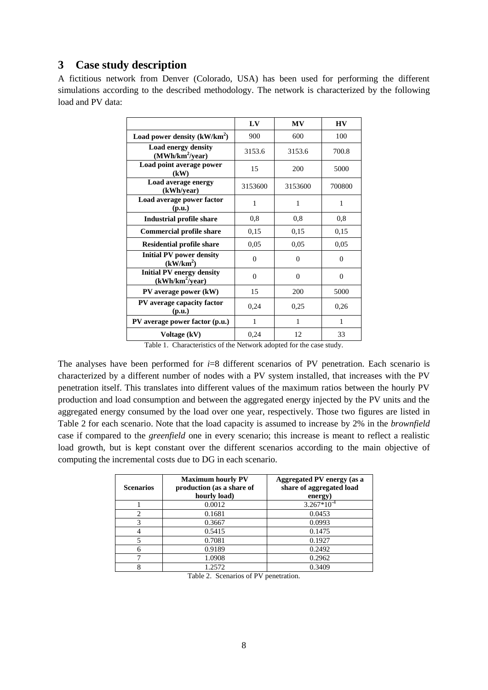## **3 Case study description**

A fictitious network from Denver (Colorado, USA) has been used for performing the different simulations according to the described methodology. The network is characterized by the following load and PV data:

|                                                           | LV           | <b>MV</b> | <b>HV</b> |
|-----------------------------------------------------------|--------------|-----------|-----------|
| Load power density $(kW/km2)$                             | 900          | 600       | 100       |
| <b>Load energy density</b><br>(MWh/km <sup>2</sup> /year) | 3153.6       | 3153.6    | 700.8     |
| Load point average power<br>(kW)                          | 15           | 200       | 5000      |
| Load average energy<br>(kWh/year)                         | 3153600      | 3153600   | 700800    |
| Load average power factor<br>(p.u.)                       | $\mathbf{1}$ | 1         | 1         |
| <b>Industrial profile share</b>                           | 0,8          | 0,8       | 0,8       |
| <b>Commercial profile share</b>                           | 0,15         | 0,15      | 0,15      |
| <b>Residential profile share</b>                          | 0.05         | 0,05      | 0,05      |
| <b>Initial PV power density</b><br>(kW/km <sup>2</sup> )  | $\Omega$     | $\theta$  | $\Omega$  |
| <b>Initial PV energy density</b><br>$(kWh/km^2/year)$     | $\Omega$     | $\theta$  | $\Omega$  |
| PV average power (kW)                                     | 15           | 200       | 5000      |
| PV average capacity factor<br>(p.u.)                      | 0,24         | 0.25      | 0,26      |
| PV average power factor (p.u.)                            | $\mathbf{1}$ | 1         | 1         |
| Voltage (kV)                                              | 0,24         | 12        | 33        |

Table 1. Characteristics of the Network adopted for the case study.

The analyses have been performed for *i*=8 different scenarios of PV penetration. Each scenario is characterized by a different number of nodes with a PV system installed, that increases with the PV penetration itself. This translates into different values of the maximum ratios between the hourly PV production and load consumption and between the aggregated energy injected by the PV units and the aggregated energy consumed by the load over one year, respectively. Those two figures are listed in Table 2 for each scenario. Note that the load capacity is assumed to increase by 2% in the *brownfield*  case if compared to the *greenfield* one in every scenario; this increase is meant to reflect a realistic load growth, but is kept constant over the different scenarios according to the main objective of computing the incremental costs due to DG in each scenario.

| <b>Scenarios</b>     | <b>Maximum hourly PV</b><br>production (as a share of<br>hourly load) | <b>Aggregated PV energy (as a</b><br>share of aggregated load<br>energy) |
|----------------------|-----------------------------------------------------------------------|--------------------------------------------------------------------------|
|                      | 0.0012                                                                | $3.267*10^{-4}$                                                          |
| 2                    | 0.1681                                                                | 0.0453                                                                   |
| 3                    | 0.3667                                                                | 0.0993                                                                   |
|                      | 0.5415                                                                | 0.1475                                                                   |
|                      | 0.7081                                                                | 0.1927                                                                   |
| 6                    | 0.9189                                                                | 0.2492                                                                   |
|                      | 1.0908                                                                | 0.2962                                                                   |
| 8                    | 1.2572                                                                | 0.3409                                                                   |
| $\sim$ $\sim$<br>___ |                                                                       |                                                                          |

Table 2. Scenarios of PV penetration.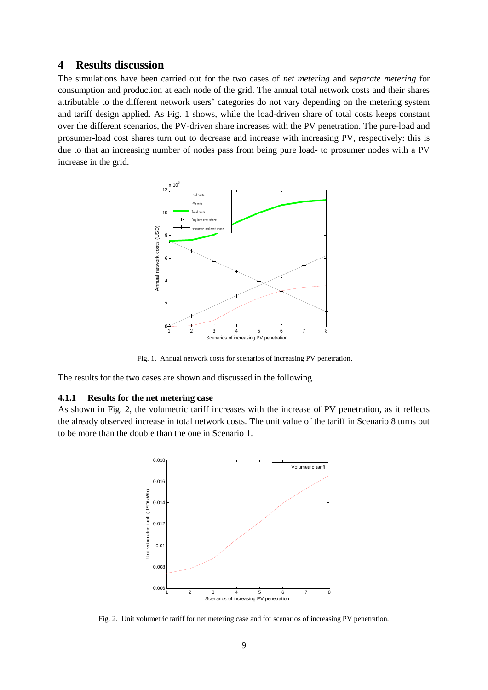## **4 Results discussion**

The simulations have been carried out for the two cases of *net metering* and *separate metering* for consumption and production at each node of the grid. The annual total network costs and their shares attributable to the different network users' categories do not vary depending on the metering system and tariff design applied. As Fig. 1 shows, while the load-driven share of total costs keeps constant over the different scenarios, the PV-driven share increases with the PV penetration. The pure-load and prosumer-load cost shares turn out to decrease and increase with increasing PV, respectively: this is due to that an increasing number of nodes pass from being pure load- to prosumer nodes with a PV increase in the grid.



Fig. 1. Annual network costs for scenarios of increasing PV penetration.

The results for the two cases are shown and discussed in the following.

#### **4.1.1 Results for the net metering case**

As shown in Fig. 2, the volumetric tariff increases with the increase of PV penetration, as it reflects the already observed increase in total network costs. The unit value of the tariff in Scenario 8 turns out to be more than the double than the one in Scenario 1.



Fig. 2. Unit volumetric tariff for net metering case and for scenarios of increasing PV penetration.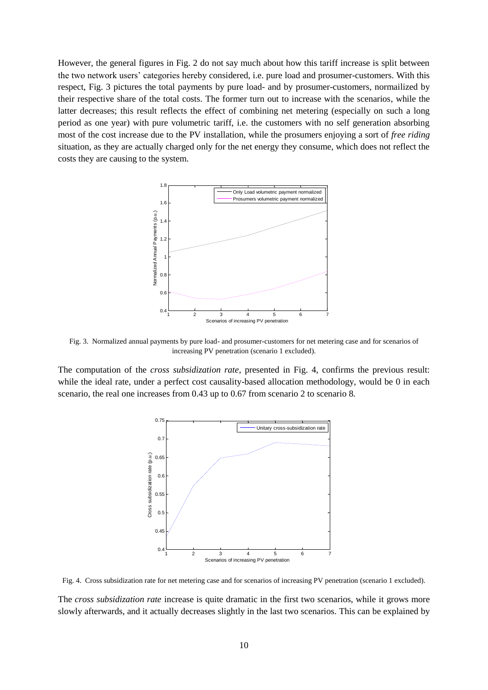However, the general figures in Fig. 2 do not say much about how this tariff increase is split between the two network users' categories hereby considered, i.e. pure load and prosumer-customers. With this respect, Fig. 3 pictures the total payments by pure load- and by prosumer-customers, normailized by their respective share of the total costs. The former turn out to increase with the scenarios, while the latter decreases; this result reflects the effect of combining net metering (especially on such a long period as one year) with pure volumetric tariff, i.e. the customers with no self generation absorbing most of the cost increase due to the PV installation, while the prosumers enjoying a sort of *free riding* situation, as they are actually charged only for the net energy they consume, which does not reflect the costs they are causing to the system.



Fig. 3. Normalized annual payments by pure load- and prosumer-customers for net metering case and for scenarios of increasing PV penetration (scenario 1 excluded).

The computation of the *cross subsidization rate*, presented in Fig. 4, confirms the previous result: while the ideal rate, under a perfect cost causality-based allocation methodology, would be 0 in each scenario, the real one increases from 0.43 up to 0.67 from scenario 2 to scenario 8.



Fig. 4. Cross subsidization rate for net metering case and for scenarios of increasing PV penetration (scenario 1 excluded).

The *cross subsidization rate* increase is quite dramatic in the first two scenarios, while it grows more slowly afterwards, and it actually decreases slightly in the last two scenarios. This can be explained by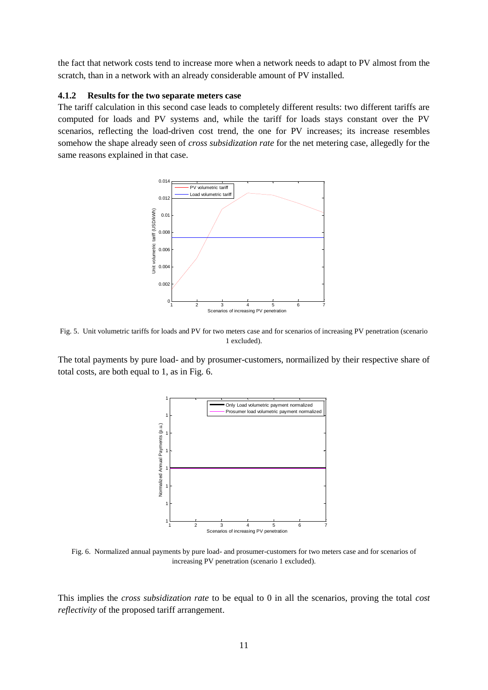the fact that network costs tend to increase more when a network needs to adapt to PV almost from the scratch, than in a network with an already considerable amount of PV installed.

#### **4.1.2 Results for the two separate meters case**

The tariff calculation in this second case leads to completely different results: two different tariffs are computed for loads and PV systems and, while the tariff for loads stays constant over the PV scenarios, reflecting the load-driven cost trend, the one for PV increases; its increase resembles somehow the shape already seen of *cross subsidization rate* for the net metering case, allegedly for the same reasons explained in that case.



Fig. 5. Unit volumetric tariffs for loads and PV for two meters case and for scenarios of increasing PV penetration (scenario 1 excluded).

The total payments by pure load- and by prosumer-customers, normailized by their respective share of total costs, are both equal to 1, as in Fig. 6.



Fig. 6. Normalized annual payments by pure load- and prosumer-customers for two meters case and for scenarios of increasing PV penetration (scenario 1 excluded).

This implies the *cross subsidization rate* to be equal to 0 in all the scenarios, proving the total *cost reflectivity* of the proposed tariff arrangement.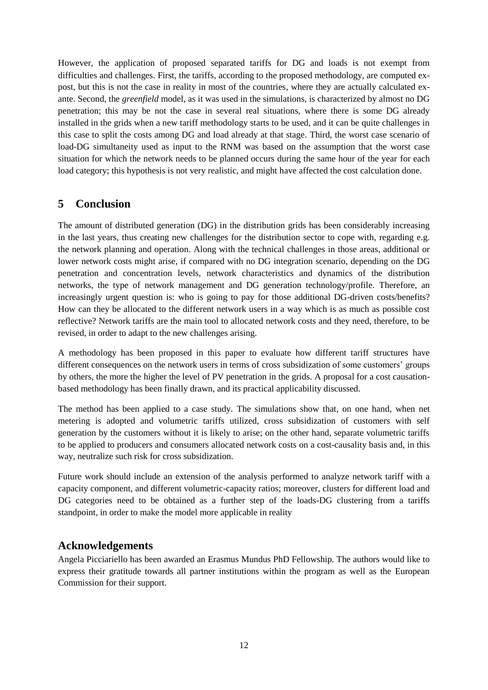However, the application of proposed separated tariffs for DG and loads is not exempt from difficulties and challenges. First, the tariffs, according to the proposed methodology, are computed expost, but this is not the case in reality in most of the countries, where they are actually calculated exante. Second, the *greenfield* model, as it was used in the simulations, is characterized by almost no DG penetration; this may be not the case in several real situations, where there is some DG already installed in the grids when a new tariff methodology starts to be used, and it can be quite challenges in this case to split the costs among DG and load already at that stage. Third, the worst case scenario of load-DG simultaneity used as input to the RNM was based on the assumption that the worst case situation for which the network needs to be planned occurs during the same hour of the year for each load category; this hypothesis is not very realistic, and might have affected the cost calculation done.

## **5 Conclusion**

The amount of distributed generation (DG) in the distribution grids has been considerably increasing in the last years, thus creating new challenges for the distribution sector to cope with, regarding e.g. the network planning and operation. Along with the technical challenges in those areas, additional or lower network costs might arise, if compared with no DG integration scenario, depending on the DG penetration and concentration levels, network characteristics and dynamics of the distribution networks, the type of network management and DG generation technology/profile. Therefore, an increasingly urgent question is: who is going to pay for those additional DG-driven costs/benefits? How can they be allocated to the different network users in a way which is as much as possible cost reflective? Network tariffs are the main tool to allocated network costs and they need, therefore, to be revised, in order to adapt to the new challenges arising.

A methodology has been proposed in this paper to evaluate how different tariff structures have different consequences on the network users in terms of cross subsidization of some customers' groups by others, the more the higher the level of PV penetration in the grids. A proposal for a cost causationbased methodology has been finally drawn, and its practical applicability discussed.

The method has been applied to a case study. The simulations show that, on one hand, when net metering is adopted and volumetric tariffs utilized, cross subsidization of customers with self generation by the customers without it is likely to arise; on the other hand, separate volumetric tariffs to be applied to producers and consumers allocated network costs on a cost-causality basis and, in this way, neutralize such risk for cross subsidization.

Future work should include an extension of the analysis performed to analyze network tariff with a capacity component, and different volumetric-capacity ratios; moreover, clusters for different load and DG categories need to be obtained as a further step of the loads-DG clustering from a tariffs standpoint, in order to make the model more applicable in reality

## **Acknowledgements**

Angela Picciariello has been awarded an Erasmus Mundus PhD Fellowship. The authors would like to express their gratitude towards all partner institutions within the program as well as the European Commission for their support.